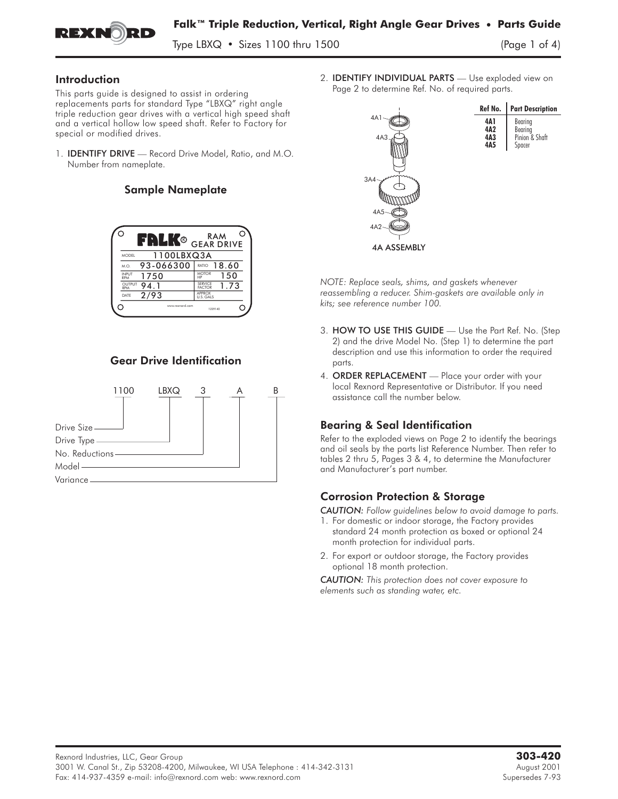

Type LBXQ  $\cdot$  Sizes 1100 thru 1500

#### Introduction

This parts guide is designed to assist in ordering replacements parts for standard Type "LBXQ" right angle triple reduction gear drives with a vertical high speed shaft and a vertical hollow low speed shaft. Refer to Factory for special or modified drives.

1. IDENTIFY DRIVE **—** Record Drive Model, Ratio, and M.O. Number from nameplate.

## Sample Nameplate



# Gear Drive Identification



2. IDENTIFY INDIVIDUAL PARTS **—** Use exploded view on Page 2 to determine Ref. No. of required parts.



*NOTE: Replace seals, shims, and gaskets whenever reassembling a reducer. Shim-gaskets are available only in kits; see reference number 100.* NOTE: Keplace seals, shims, and gaskets whenever<br>reassembling a reducer. Shim-gaskets are available only in<br>kits; see reference number 100.<br>3. **HOW TO USE THIS GUIDE** — Use the Part Ref. No. (Step

- 2) and the drive Model No. (Step 1) to determine the part description and use this information to order the required parts. 3. HOW TO USE THIS GUIDE — Use the Part Ref. No. (Step 2) and the drive Model No. (Step 1) to determine the part description and use this information to order the required parts.<br>4. ORDER REPLACEMENT — Place your order wit
- local Rexnord Representative or Distributor. If you need assistance call the number below.

# Bearing & Seal Identification

Refer to the exploded views on Page 2 to identify the bearings and oil seals by the parts list Reference Number. Then refer to tables 2 thru 5, Pages 3 & 4, to determine the Manufacturer and Manufacturer's part number.

# Corrosion Protection & Storage

*CAUTION: Follow guidelines below to avoid damage to parts.*

- 1. For domestic or indoor storage, the Factory provides standard 24 month protection as boxed or optional 24 month protection for individual parts.
- 2. For export or outdoor storage, the Factory provides optional 18 month protection.

*CAUTION: This protection does not cover exposure to elements such as standing water, etc.*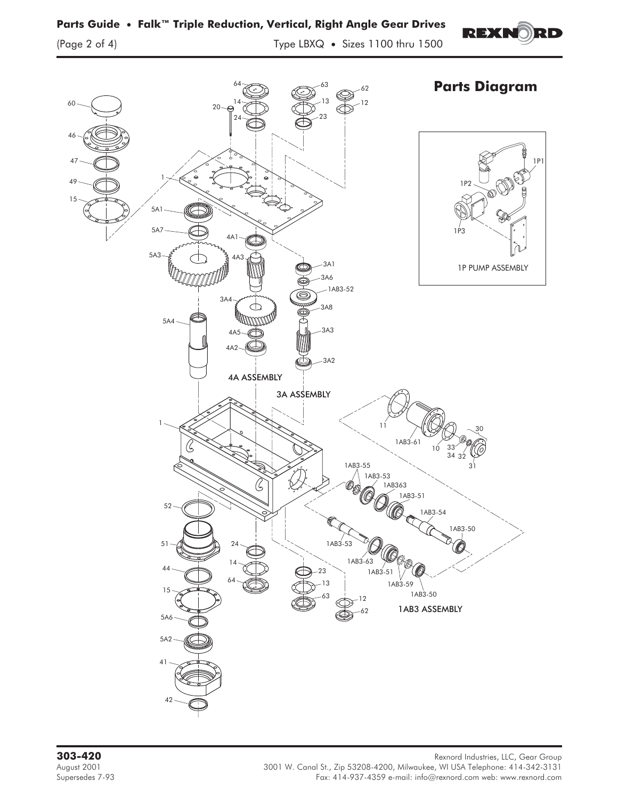

**Parts Guide • Falk™ Triple Reduction, Vertical, Right Angle Gear Drives**

**REXNORD**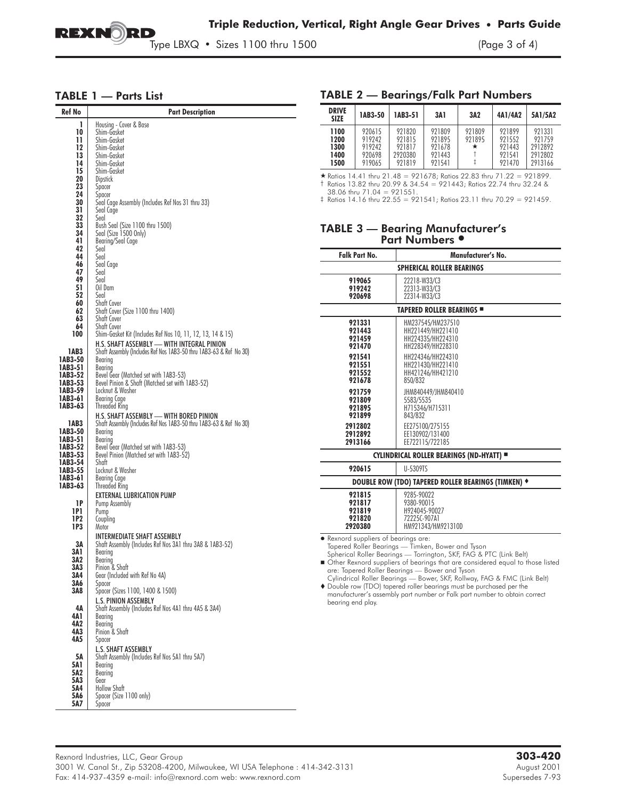

Type LBXQ • Sizes 1100 thru 1500 (Page 3 of 4)

#### TABLE 1 — Parts List

| Ref No             | <b>Part Description</b>                                            |  |  |  |  |  |  |
|--------------------|--------------------------------------------------------------------|--|--|--|--|--|--|
| 1                  | Housing - Cover & Base                                             |  |  |  |  |  |  |
| 10                 | Shim-Gasket                                                        |  |  |  |  |  |  |
| 11<br>12           | Shim-Gasket<br>Shim-Gasket                                         |  |  |  |  |  |  |
| 13                 | Shim-Gasket                                                        |  |  |  |  |  |  |
| 14                 | Shim-Gasket                                                        |  |  |  |  |  |  |
| 15                 | Shim-Gasket                                                        |  |  |  |  |  |  |
| 20<br>23           | Dipstick<br>Spacer                                                 |  |  |  |  |  |  |
| 24                 | Spacer                                                             |  |  |  |  |  |  |
| 30                 | Seal Cage Assembly (Includes Ref Nos 31 thru 33)                   |  |  |  |  |  |  |
| 31                 | Seal Cage                                                          |  |  |  |  |  |  |
| 32<br>33           | Seal<br>Bush Seal (Size 1100 thru 1500)                            |  |  |  |  |  |  |
| 34                 | Seal (Size 1500 Only)                                              |  |  |  |  |  |  |
| 41                 | Bearing/Seal Cage                                                  |  |  |  |  |  |  |
| 42                 | Seal                                                               |  |  |  |  |  |  |
| 44<br>46           | Seal<br>Seal Cage                                                  |  |  |  |  |  |  |
| 47                 | Seal                                                               |  |  |  |  |  |  |
| 49                 | Seal                                                               |  |  |  |  |  |  |
| 51<br>52           | Oil Dam<br>Seal                                                    |  |  |  |  |  |  |
| 60                 | Shaft Cover                                                        |  |  |  |  |  |  |
| 62                 | Shaft Cover (Size 1100 thru 1400)                                  |  |  |  |  |  |  |
| 63<br>64           | Shaft Cover<br>Shaft Cover                                         |  |  |  |  |  |  |
| 100                | Shim-Gasket Kit (Includes Ref Nos 10, 11, 12, 13, 14 & 15)         |  |  |  |  |  |  |
|                    | H.S. SHAFT ASSEMBLY - WITH INTEGRAL PINION                         |  |  |  |  |  |  |
| 1AB3               | Shaft Assembly (Includes Ref Nos 1AB3-50 thru 1AB3-63 & Ref No 30) |  |  |  |  |  |  |
| 1AB3-50            | Bearing                                                            |  |  |  |  |  |  |
| 1AB3-51<br>1AB3-52 | Bearina<br>Bevel Gear (Matched set with 1AB3-53)                   |  |  |  |  |  |  |
| 1AB3-53            | Bevel Pinion & Shaft (Matched set with 1AB3-52)                    |  |  |  |  |  |  |
| 1AB3-59            | Locknut & Washer                                                   |  |  |  |  |  |  |
| 1AB3-61<br>1AB3-63 | Bearing Cage<br>Threaded Ring                                      |  |  |  |  |  |  |
|                    | H.S. SHAFT ASSEMBLY — WITH BORED PINION                            |  |  |  |  |  |  |
| 1AB3               | Shaft Assembly (Includes Ref Nos 1AB3-50 thru 1AB3-63 & Ref No 30) |  |  |  |  |  |  |
| 1AB3-50            | Bearing                                                            |  |  |  |  |  |  |
| 1AB3-51<br>1AB3-52 | Bearing<br>Bevel Gear (Matched set with 1AB3-53)                   |  |  |  |  |  |  |
| 1AB3-53            | Bevel Pinion (Matched set with 1AB3-52)                            |  |  |  |  |  |  |
| 1AB3-54            | Shaft                                                              |  |  |  |  |  |  |
| 1AB3-55<br>1AB3-61 | Locknut & Washer<br>Bearing Cage                                   |  |  |  |  |  |  |
| 1AB3-63            | Threaded Ring                                                      |  |  |  |  |  |  |
|                    | EXTERNAL LUBRICATION PUMP                                          |  |  |  |  |  |  |
| 1P                 | Pump Assembly                                                      |  |  |  |  |  |  |
| 1P1<br>1P2         | Pump<br>Couplina                                                   |  |  |  |  |  |  |
| 1P3                | Motor                                                              |  |  |  |  |  |  |
|                    | INTERMEDIATE SHAFT ASSEMBLY                                        |  |  |  |  |  |  |
| ЗΑ                 | Shaft Assembly (Includes Ref Nos 3A1 thru 3A8 & 1AB3-52)           |  |  |  |  |  |  |
| 3A 1<br>3A2        | Bearing<br>Bearing                                                 |  |  |  |  |  |  |
| 3A3                | Pinion & Shaft                                                     |  |  |  |  |  |  |
| 3A4.               | Gear (Included with Ref No 4A)                                     |  |  |  |  |  |  |
| 3A6<br>3A8         | Spacer<br>Spacer (Sizes 1100, 1400 & 1500)                         |  |  |  |  |  |  |
|                    | <b>L.S. PINION ASSEMBLY</b>                                        |  |  |  |  |  |  |
| 4Α                 | Shaft Assembly (Includes Ref Nos 4A1 thru 4A5 & 3A4)               |  |  |  |  |  |  |
| 4A 1               | Bearing                                                            |  |  |  |  |  |  |
| 4A2<br>4A3         | Bearina<br>Pinion & Shaft                                          |  |  |  |  |  |  |
| 4A5                | Spacer                                                             |  |  |  |  |  |  |
|                    | <b>L.S. SHAFT ASSEMBLY</b>                                         |  |  |  |  |  |  |
| 5А                 | Shaft Assembly (Includes Ref Nos 5A1 thru 5A7)                     |  |  |  |  |  |  |
| 5A 1<br>5A2        | Bearina                                                            |  |  |  |  |  |  |
| 5A3                | Bearing<br>Gear                                                    |  |  |  |  |  |  |
| 5A4                | Hollow Shaft                                                       |  |  |  |  |  |  |
| 5A6                | Spacer (Size 1100 only)                                            |  |  |  |  |  |  |
| 5A7                | Spacer                                                             |  |  |  |  |  |  |

#### TABLE 2 — Bearings/Falk Part Numbers

| <b>DRIVE</b><br><b>SIZE</b>          | 1AB3-50                                        | 1AB3-51                                         | 3A 1                                           | 3A2                   | 4A1/4A2                                        | 5A1/5A2                                           |
|--------------------------------------|------------------------------------------------|-------------------------------------------------|------------------------------------------------|-----------------------|------------------------------------------------|---------------------------------------------------|
| 1100<br>1200<br>1300<br>1400<br>1500 | 920615<br>919242<br>919747<br>920698<br>919065 | 921820<br>921815<br>921817<br>2920380<br>921819 | 921809<br>921895<br>921678<br>921443<br>921541 | 921809<br>921895<br>* | 921899<br>921552<br>921443<br>921541<br>921470 | 921331<br>921759<br>2912892<br>2912802<br>2913166 |

- Ratios 14.41 thru 21.48 = 921678; Ratios 22.83 thru 71.22 = 921899. † Ratios 13.82 thru 20.99 & 34.54 = 921443; Ratios 22.74 thru 32.24 &

38.06 thru 71.04 = 921551. ‡ Ratios 14.16 thru 22.55 = 921541; Ratios 23.11 thru 70.29 = 921459.

#### TABLE 3 — Bearing Manufacturer's Part Numbers *-*

| <b>Falk Part No.</b>                                      | Manufacturer's No.                                                                                                                                                                                                                                                                                                                                                                                                                                                                          |  |  |  |  |  |
|-----------------------------------------------------------|---------------------------------------------------------------------------------------------------------------------------------------------------------------------------------------------------------------------------------------------------------------------------------------------------------------------------------------------------------------------------------------------------------------------------------------------------------------------------------------------|--|--|--|--|--|
| <b>SPHERICAL ROLLER BEARINGS</b>                          |                                                                                                                                                                                                                                                                                                                                                                                                                                                                                             |  |  |  |  |  |
| 919065<br>919242<br>920698                                | 22218-W33/C3<br>22313-W33/C3<br>22314-W33/C3                                                                                                                                                                                                                                                                                                                                                                                                                                                |  |  |  |  |  |
| <b>TAPERED ROLLER BEARINGS ■</b>                          |                                                                                                                                                                                                                                                                                                                                                                                                                                                                                             |  |  |  |  |  |
| 921331<br>921443<br>921459<br>921470                      | HM237545/HM237510<br>HH221449/HH221410<br>HH224335/HH224310<br>HH228349/HH228310                                                                                                                                                                                                                                                                                                                                                                                                            |  |  |  |  |  |
| 921541<br>921551<br>921552<br>921678                      | HH224346/HH224310<br>HH221430/HH221410<br>HH421246/HH421210<br>850/832                                                                                                                                                                                                                                                                                                                                                                                                                      |  |  |  |  |  |
| 921759<br>921809<br>921895<br>921899                      | JHM840449/JHM840410<br>5583/5535<br>H715346/H715311<br>843/832                                                                                                                                                                                                                                                                                                                                                                                                                              |  |  |  |  |  |
| 2912802<br>2912892<br>2913166                             | EE275100/275155<br>EE130902/131400<br>EE722115/722185                                                                                                                                                                                                                                                                                                                                                                                                                                       |  |  |  |  |  |
| CYLINDRICAL ROLLER BEARINGS (ND-HYATT) =                  |                                                                                                                                                                                                                                                                                                                                                                                                                                                                                             |  |  |  |  |  |
| 920615                                                    | U-5309TS                                                                                                                                                                                                                                                                                                                                                                                                                                                                                    |  |  |  |  |  |
|                                                           | DOUBLE ROW (TDO) TAPERED ROLLER BEARINGS (TIMKEN) +                                                                                                                                                                                                                                                                                                                                                                                                                                         |  |  |  |  |  |
| 921815<br>921817<br>921819<br>921820<br>2920380           | 9285-90022<br>9380-90015<br>H924045-90027<br>72225C-907A1<br>HM921343/HM921310D                                                                                                                                                                                                                                                                                                                                                                                                             |  |  |  |  |  |
| • Rexnord suppliers of bearings are:<br>bearing end play. | Tapered Roller Bearings - Timken, Bower and Tyson<br>Spherical Roller Bearings - Torrington, SKF, FAG & PTC (Link Belt)<br>Other Rexnord suppliers of bearings that are considered equal to those listed<br>are: Tapered Roller Bearings - Bower and Tyson<br>Cylindrical Roller Bearings - Bower, SKF, Rollway, FAG & FMC (Link Belt)<br>♦ Double row (TDO) tapered roller bearings must be purchased per the<br>manufacturer's assembly part number or Falk part number to obtain correct |  |  |  |  |  |